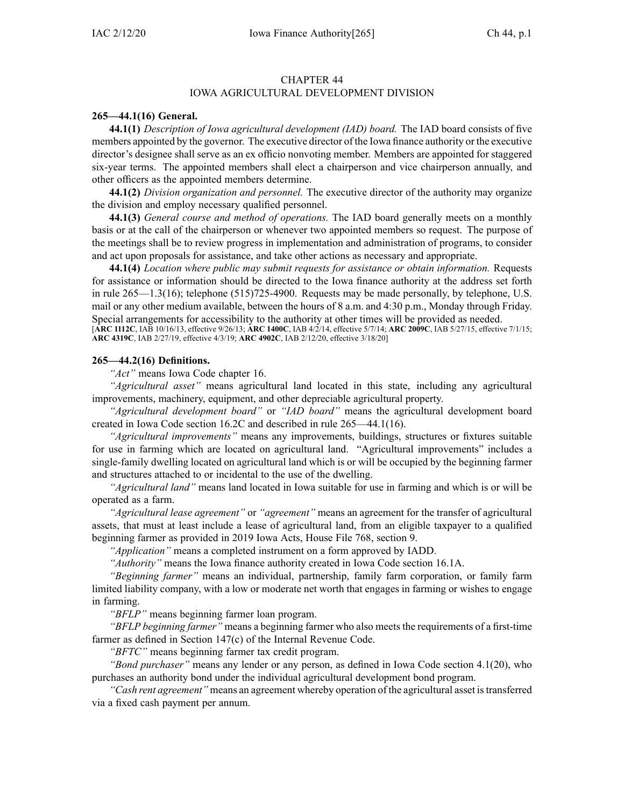#### CHAPTER 44 IOWA AGRICULTURAL DEVELOPMENT DIVISION

#### **265—44.1(16) General.**

**44.1(1)** *Description of Iowa agricultural development (IAD) board.* The IAD board consists of five members appointed by the governor. The executive director of the Iowa finance authority or the executive director's designee shall serve as an ex officio nonvoting member. Members are appointed for staggered six-year terms. The appointed members shall elect <sup>a</sup> chairperson and vice chairperson annually, and other officers as the appointed members determine.

**44.1(2)** *Division organization and personnel.* The executive director of the authority may organize the division and employ necessary qualified personnel.

**44.1(3)** *General course and method of operations.* The IAD board generally meets on <sup>a</sup> monthly basis or at the call of the chairperson or whenever two appointed members so request. The purpose of the meetings shall be to review progress in implementation and administration of programs, to consider and act upon proposals for assistance, and take other actions as necessary and appropriate.

**44.1(4)** *Location where public may submit requests for assistance or obtain information.* Requests for assistance or information should be directed to the Iowa finance authority at the address set forth in rule [265—1.3](https://www.legis.iowa.gov/docs/iac/rule/265.1.3.pdf)(16); telephone (515)725-4900. Requests may be made personally, by telephone, U.S. mail or any other medium available, between the hours of 8 a.m. and 4:30 p.m., Monday through Friday. Special arrangements for accessibility to the authority at other times will be provided as needed.

[**ARC [1112C](https://www.legis.iowa.gov/docs/aco/arc/1112C.pdf)**, IAB 10/16/13, effective 9/26/13; **ARC [1400C](https://www.legis.iowa.gov/docs/aco/arc/1400C.pdf)**, IAB 4/2/14, effective 5/7/14; **ARC [2009C](https://www.legis.iowa.gov/docs/aco/arc/2009C.pdf)**, IAB 5/27/15, effective 7/1/15; **ARC [4319C](https://www.legis.iowa.gov/docs/aco/arc/4319C.pdf)**, IAB 2/27/19, effective 4/3/19; **ARC [4902C](https://www.legis.iowa.gov/docs/aco/arc/4902C.pdf)**, IAB 2/12/20, effective 3/18/20]

#### **265—44.2(16) Definitions.**

*"Act"* means Iowa Code chapter [16](https://www.legis.iowa.gov/docs/ico/chapter/16.pdf).

*"Agricultural asset"* means agricultural land located in this state, including any agricultural improvements, machinery, equipment, and other depreciable agricultural property.

*"Agricultural development board"* or *"IAD board"* means the agricultural development board created in Iowa Code section [16.2C](https://www.legis.iowa.gov/docs/ico/section/16.2C.pdf) and described in rule [265—44.1](https://www.legis.iowa.gov/docs/iac/rule/265.44.1.pdf)(16).

*"Agricultural improvements"* means any improvements, buildings, structures or fixtures suitable for use in farming which are located on agricultural land. "Agricultural improvements" includes <sup>a</sup> single-family dwelling located on agricultural land which is or will be occupied by the beginning farmer and structures attached to or incidental to the use of the dwelling.

*"Agricultural land"* means land located in Iowa suitable for use in farming and which is or will be operated as <sup>a</sup> farm.

*"Agricultural lease agreement"* or *"agreement"* means an agreemen<sup>t</sup> for the transfer of agricultural assets, that must at least include <sup>a</sup> lease of agricultural land, from an eligible taxpayer to <sup>a</sup> qualified beginning farmer as provided in 2019 Iowa Acts, House File 768, section 9.

*"Application"* means <sup>a</sup> completed instrument on <sup>a</sup> form approved by IADD.

*"Authority"* means the Iowa finance authority created in Iowa Code section [16.1A](https://www.legis.iowa.gov/docs/ico/section/16.1A.pdf).

*"Beginning farmer"* means an individual, partnership, family farm corporation, or family farm limited liability company, with <sup>a</sup> low or moderate net worth that engages in farming or wishes to engage in farming.

*"BFLP"* means beginning farmer loan program.

*"BFLP beginning farmer"* means <sup>a</sup> beginning farmer who also meets the requirements of <sup>a</sup> first-time farmer as defined in Section 147(c) of the Internal Revenue Code.

*"BFTC"* means beginning farmer tax credit program.

*"Bond purchaser"* means any lender or any person, as defined in Iowa Code section [4.1\(20\)](https://www.legis.iowa.gov/docs/ico/section/4.1.pdf), who purchases an authority bond under the individual agricultural development bond program.

*"Cash rent agreement"* means an agreement whereby operation of the agricultural asset is transferred via <sup>a</sup> fixed cash paymen<sup>t</sup> per annum.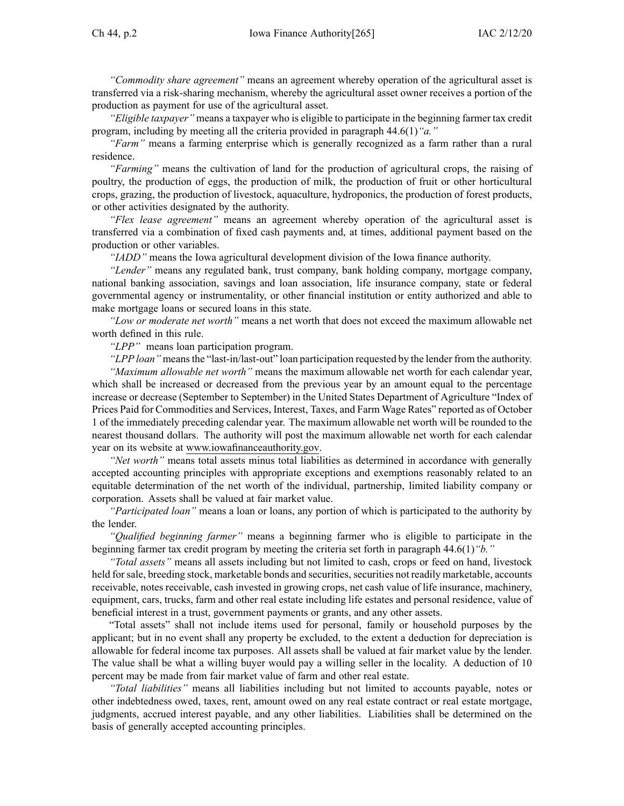*"Commodity share agreement"* means an agreemen<sup>t</sup> whereby operation of the agricultural asset is transferred via <sup>a</sup> risk-sharing mechanism, whereby the agricultural asset owner receives <sup>a</sup> portion of the production as paymen<sup>t</sup> for use of the agricultural asset.

*"Eligible taxpayer"* means <sup>a</sup> taxpayer who is eligible to participate in the beginning farmer tax credit program, including by meeting all the criteria provided in paragraph [44.6\(1\)](https://www.legis.iowa.gov/docs/iac/rule/265.44.6.pdf)*"a."*

*"Farm"* means <sup>a</sup> farming enterprise which is generally recognized as <sup>a</sup> farm rather than <sup>a</sup> rural residence.

*"Farming"* means the cultivation of land for the production of agricultural crops, the raising of poultry, the production of eggs, the production of milk, the production of fruit or other horticultural crops, grazing, the production of livestock, aquaculture, hydroponics, the production of forest products, or other activities designated by the authority.

*"Flex lease agreement"* means an agreemen<sup>t</sup> whereby operation of the agricultural asset is transferred via <sup>a</sup> combination of fixed cash payments and, at times, additional paymen<sup>t</sup> based on the production or other variables.

*"IADD"* means the Iowa agricultural development division of the Iowa finance authority.

*"Lender"* means any regulated bank, trust company, bank holding company, mortgage company, national banking association, savings and loan association, life insurance company, state or federal governmental agency or instrumentality, or other financial institution or entity authorized and able to make mortgage loans or secured loans in this state.

*"Low or moderate net worth"* means <sup>a</sup> net worth that does not exceed the maximum allowable net worth defined in this rule.

*"LPP"* means loan participation program.

*"LPP loan"* meansthe "last-in/last-out" loan participation requested by the lender from the authority.

*"Maximum allowable net worth"* means the maximum allowable net worth for each calendar year, which shall be increased or decreased from the previous year by an amount equal to the percentage increase or decrease (September to September) in the United States Department of Agriculture "Index of Prices Paid for Commodities and Services, Interest, Taxes, and Farm Wage Rates" reported as of October 1 of the immediately preceding calendar year. The maximum allowable net worth will be rounded to the nearest thousand dollars. The authority will pos<sup>t</sup> the maximum allowable net worth for each calendar year on its website at [www.iowafinanceauthority.gov](http://www.iowafinanceauthority.gov).

*"Net worth"* means total assets minus total liabilities as determined in accordance with generally accepted accounting principles with appropriate exceptions and exemptions reasonably related to an equitable determination of the net worth of the individual, partnership, limited liability company or corporation. Assets shall be valued at fair market value.

*"Participated loan"* means <sup>a</sup> loan or loans, any portion of which is participated to the authority by the lender.

*"Qualified beginning farmer"* means <sup>a</sup> beginning farmer who is eligible to participate in the beginning farmer tax credit program by meeting the criteria set forth in paragraph [44.6\(1\)](https://www.legis.iowa.gov/docs/iac/rule/265.44.6.pdf)*"b."*

*"Total assets"* means all assets including but not limited to cash, crops or feed on hand, livestock held forsale, breeding stock, marketable bonds and securities, securities not readily marketable, accounts receivable, notes receivable, cash invested in growing crops, net cash value of life insurance, machinery, equipment, cars, trucks, farm and other real estate including life estates and personal residence, value of beneficial interest in <sup>a</sup> trust, governmen<sup>t</sup> payments or grants, and any other assets.

"Total assets" shall not include items used for personal, family or household purposes by the applicant; but in no event shall any property be excluded, to the extent <sup>a</sup> deduction for depreciation is allowable for federal income tax purposes. All assets shall be valued at fair market value by the lender. The value shall be what <sup>a</sup> willing buyer would pay <sup>a</sup> willing seller in the locality. A deduction of 10 percen<sup>t</sup> may be made from fair market value of farm and other real estate.

*"Total liabilities"* means all liabilities including but not limited to accounts payable, notes or other indebtedness owed, taxes, rent, amount owed on any real estate contract or real estate mortgage, judgments, accrued interest payable, and any other liabilities. Liabilities shall be determined on the basis of generally accepted accounting principles.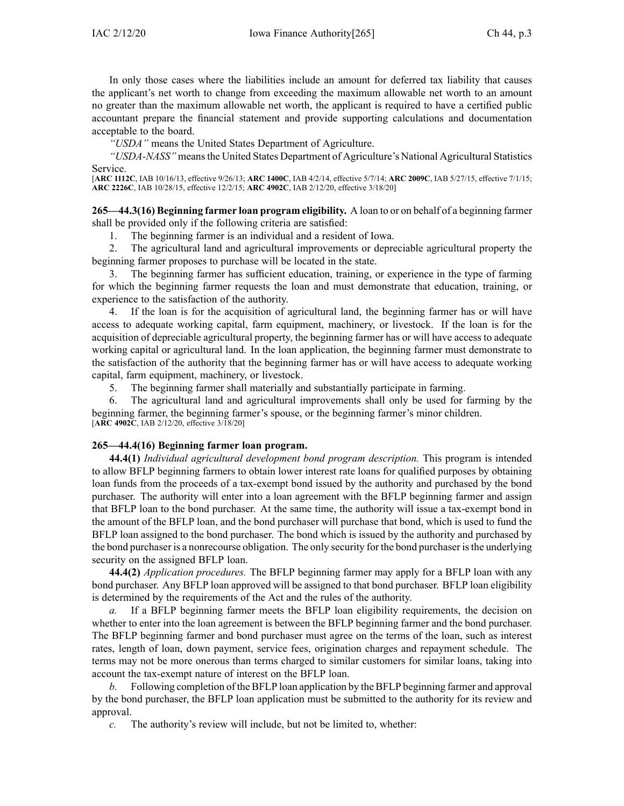In only those cases where the liabilities include an amount for deferred tax liability that causes the applicant's net worth to change from exceeding the maximum allowable net worth to an amount no greater than the maximum allowable net worth, the applicant is required to have <sup>a</sup> certified public accountant prepare the financial statement and provide supporting calculations and documentation acceptable to the board.

*"USDA"* means the United States Department of Agriculture.

*"USDA-NASS"* means the United States Department of Agriculture's National Agricultural Statistics Service.

[**ARC [1112C](https://www.legis.iowa.gov/docs/aco/arc/1112C.pdf)**, IAB 10/16/13, effective 9/26/13; **ARC [1400C](https://www.legis.iowa.gov/docs/aco/arc/1400C.pdf)**, IAB 4/2/14, effective 5/7/14; **ARC [2009C](https://www.legis.iowa.gov/docs/aco/arc/2009C.pdf)**, IAB 5/27/15, effective 7/1/15; **ARC [2226C](https://www.legis.iowa.gov/docs/aco/arc/2226C.pdf)**, IAB 10/28/15, effective 12/2/15; **ARC [4902C](https://www.legis.iowa.gov/docs/aco/arc/4902C.pdf)**, IAB 2/12/20, effective 3/18/20]

**265—44.3(16) Beginning farmer loan program eligibility.** A loan to or on behalf of <sup>a</sup> beginning farmer shall be provided only if the following criteria are satisfied:

1. The beginning farmer is an individual and <sup>a</sup> resident of Iowa.

2. The agricultural land and agricultural improvements or depreciable agricultural property the beginning farmer proposes to purchase will be located in the state.

3. The beginning farmer has sufficient education, training, or experience in the type of farming for which the beginning farmer requests the loan and must demonstrate that education, training, or experience to the satisfaction of the authority.

4. If the loan is for the acquisition of agricultural land, the beginning farmer has or will have access to adequate working capital, farm equipment, machinery, or livestock. If the loan is for the acquisition of depreciable agricultural property, the beginning farmer has or will have access to adequate working capital or agricultural land. In the loan application, the beginning farmer must demonstrate to the satisfaction of the authority that the beginning farmer has or will have access to adequate working capital, farm equipment, machinery, or livestock.

5. The beginning farmer shall materially and substantially participate in farming.

6. The agricultural land and agricultural improvements shall only be used for farming by the beginning farmer, the beginning farmer's spouse, or the beginning farmer's minor children. [**ARC [4902C](https://www.legis.iowa.gov/docs/aco/arc/4902C.pdf)**, IAB 2/12/20, effective 3/18/20]

## **265—44.4(16) Beginning farmer loan program.**

**44.4(1)** *Individual agricultural development bond program description.* This program is intended to allow BFLP beginning farmers to obtain lower interest rate loans for qualified purposes by obtaining loan funds from the proceeds of <sup>a</sup> tax-exempt bond issued by the authority and purchased by the bond purchaser. The authority will enter into <sup>a</sup> loan agreemen<sup>t</sup> with the BFLP beginning farmer and assign that BFLP loan to the bond purchaser. At the same time, the authority will issue <sup>a</sup> tax-exempt bond in the amount of the BFLP loan, and the bond purchaser will purchase that bond, which is used to fund the BFLP loan assigned to the bond purchaser. The bond which is issued by the authority and purchased by the bond purchaser is a nonrecourse obligation. The only security for the bond purchaser is the underlying security on the assigned BFLP loan.

**44.4(2)** *Application procedures.* The BFLP beginning farmer may apply for <sup>a</sup> BFLP loan with any bond purchaser. Any BFLP loan approved will be assigned to that bond purchaser. BFLP loan eligibility is determined by the requirements of the Act and the rules of the authority.

*a.* If <sup>a</sup> BFLP beginning farmer meets the BFLP loan eligibility requirements, the decision on whether to enter into the loan agreemen<sup>t</sup> is between the BFLP beginning farmer and the bond purchaser. The BFLP beginning farmer and bond purchaser must agree on the terms of the loan, such as interest rates, length of loan, down payment, service fees, origination charges and repaymen<sup>t</sup> schedule. The terms may not be more onerous than terms charged to similar customers for similar loans, taking into account the tax-exempt nature of interest on the BFLP loan.

*b.* Following completion of the BFLP loan application by the BFLP beginning farmer and approval by the bond purchaser, the BFLP loan application must be submitted to the authority for its review and approval.

*c.* The authority's review will include, but not be limited to, whether: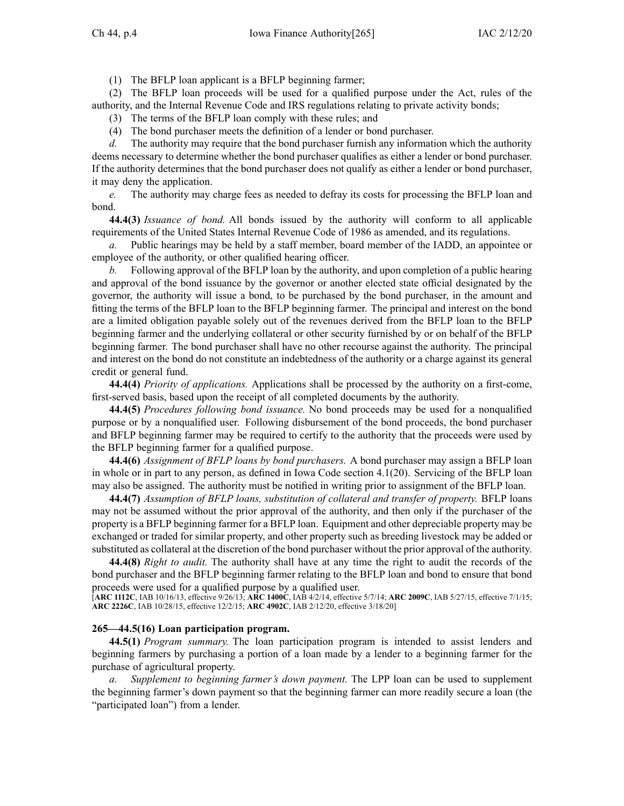(1) The BFLP loan applicant is <sup>a</sup> BFLP beginning farmer;

(2) The BFLP loan proceeds will be used for <sup>a</sup> qualified purpose under the Act, rules of the authority, and the Internal Revenue Code and IRS regulations relating to private activity bonds;

- (3) The terms of the BFLP loan comply with these rules; and
- (4) The bond purchaser meets the definition of <sup>a</sup> lender or bond purchaser.

*d.* The authority may require that the bond purchaser furnish any information which the authority deems necessary to determine whether the bond purchaser qualifies as either <sup>a</sup> lender or bond purchaser. If the authority determines that the bond purchaser does not qualify as either <sup>a</sup> lender or bond purchaser, it may deny the application.

*e.* The authority may charge fees as needed to defray its costs for processing the BFLP loan and bond.

**44.4(3)** *Issuance of bond.* All bonds issued by the authority will conform to all applicable requirements of the United States Internal Revenue Code of 1986 as amended, and its regulations.

*a.* Public hearings may be held by <sup>a</sup> staff member, board member of the IADD, an appointee or employee of the authority, or other qualified hearing officer.

*b.* Following approval of the BFLP loan by the authority, and upon completion of <sup>a</sup> public hearing and approval of the bond issuance by the governor or another elected state official designated by the governor, the authority will issue <sup>a</sup> bond, to be purchased by the bond purchaser, in the amount and fitting the terms of the BFLP loan to the BFLP beginning farmer. The principal and interest on the bond are <sup>a</sup> limited obligation payable solely out of the revenues derived from the BFLP loan to the BFLP beginning farmer and the underlying collateral or other security furnished by or on behalf of the BFLP beginning farmer. The bond purchaser shall have no other recourse against the authority. The principal and interest on the bond do not constitute an indebtedness of the authority or <sup>a</sup> charge against its general credit or general fund.

**44.4(4)** *Priority of applications.* Applications shall be processed by the authority on <sup>a</sup> first-come, first-served basis, based upon the receipt of all completed documents by the authority.

**44.4(5)** *Procedures following bond issuance.* No bond proceeds may be used for <sup>a</sup> nonqualified purpose or by <sup>a</sup> nonqualified user. Following disbursement of the bond proceeds, the bond purchaser and BFLP beginning farmer may be required to certify to the authority that the proceeds were used by the BFLP beginning farmer for <sup>a</sup> qualified purpose.

**44.4(6)** *Assignment of BFLP loans by bond purchasers.* A bond purchaser may assign <sup>a</sup> BFLP loan in whole or in par<sup>t</sup> to any person, as defined in Iowa Code section [4.1\(20\)](https://www.legis.iowa.gov/docs/ico/section/4.1.pdf). Servicing of the BFLP loan may also be assigned. The authority must be notified in writing prior to assignment of the BFLP loan.

**44.4(7)** *Assumption of BFLP loans, substitution of collateral and transfer of property.* BFLP loans may not be assumed without the prior approval of the authority, and then only if the purchaser of the property is <sup>a</sup> BFLP beginning farmer for <sup>a</sup> BFLP loan. Equipment and other depreciable property may be exchanged or traded for similar property, and other property such as breeding livestock may be added or substituted as collateral at the discretion of the bond purchaser without the prior approval of the authority.

**44.4(8)** *Right to audit.* The authority shall have at any time the right to audit the records of the bond purchaser and the BFLP beginning farmer relating to the BFLP loan and bond to ensure that bond proceeds were used for <sup>a</sup> qualified purpose by <sup>a</sup> qualified user.

[**ARC [1112C](https://www.legis.iowa.gov/docs/aco/arc/1112C.pdf)**, IAB 10/16/13, effective 9/26/13; **ARC [1400C](https://www.legis.iowa.gov/docs/aco/arc/1400C.pdf)**, IAB 4/2/14, effective 5/7/14; **ARC [2009C](https://www.legis.iowa.gov/docs/aco/arc/2009C.pdf)**, IAB 5/27/15, effective 7/1/15; **ARC [2226C](https://www.legis.iowa.gov/docs/aco/arc/2226C.pdf)**, IAB 10/28/15, effective 12/2/15; **ARC [4902C](https://www.legis.iowa.gov/docs/aco/arc/4902C.pdf)**, IAB 2/12/20, effective 3/18/20]

## **265—44.5(16) Loan participation program.**

**44.5(1)** *Program summary.* The loan participation program is intended to assist lenders and beginning farmers by purchasing <sup>a</sup> portion of <sup>a</sup> loan made by <sup>a</sup> lender to <sup>a</sup> beginning farmer for the purchase of agricultural property.

*a. Supplement to beginning farmer's down payment.* The LPP loan can be used to supplement the beginning farmer's down paymen<sup>t</sup> so that the beginning farmer can more readily secure <sup>a</sup> loan (the "participated loan") from a lender.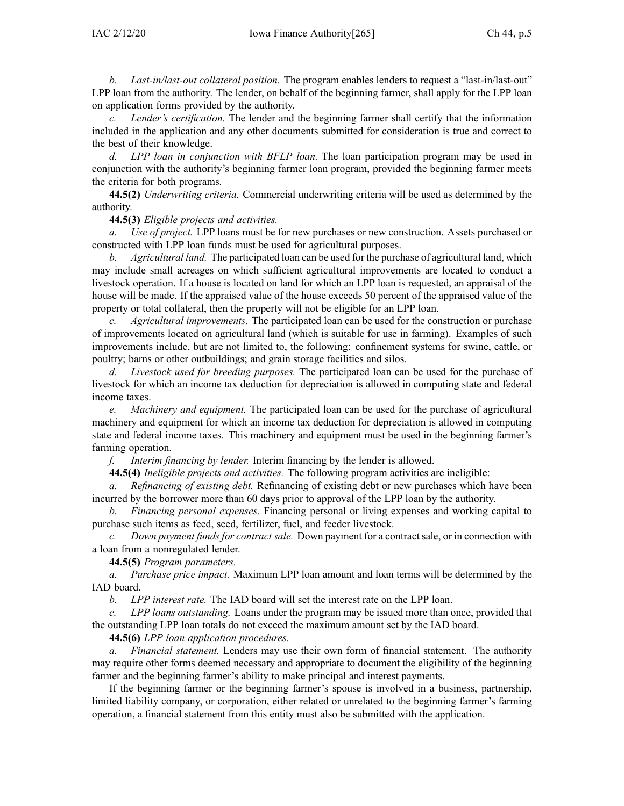*b. Last-in/last-out collateral position.* The program enables lenders to reques<sup>t</sup> <sup>a</sup> "last-in/last-out" LPP loan from the authority. The lender, on behalf of the beginning farmer, shall apply for the LPP loan on application forms provided by the authority.

*c. Lender's certification.* The lender and the beginning farmer shall certify that the information included in the application and any other documents submitted for consideration is true and correct to the best of their knowledge.

*d. LPP loan in conjunction with BFLP loan.* The loan participation program may be used in conjunction with the authority's beginning farmer loan program, provided the beginning farmer meets the criteria for both programs.

**44.5(2)** *Underwriting criteria.* Commercial underwriting criteria will be used as determined by the authority.

# **44.5(3)** *Eligible projects and activities.*

*a. Use of project.* LPP loans must be for new purchases or new construction. Assets purchased or constructed with LPP loan funds must be used for agricultural purposes.

*b. Agricultural land.* The participated loan can be used for the purchase of agricultural land, which may include small acreages on which sufficient agricultural improvements are located to conduct <sup>a</sup> livestock operation. If <sup>a</sup> house is located on land for which an LPP loan is requested, an appraisal of the house will be made. If the appraised value of the house exceeds 50 percen<sup>t</sup> of the appraised value of the property or total collateral, then the property will not be eligible for an LPP loan.

*c. Agricultural improvements.* The participated loan can be used for the construction or purchase of improvements located on agricultural land (which is suitable for use in farming). Examples of such improvements include, but are not limited to, the following: confinement systems for swine, cattle, or poultry; barns or other outbuildings; and grain storage facilities and silos.

*d. Livestock used for breeding purposes.* The participated loan can be used for the purchase of livestock for which an income tax deduction for depreciation is allowed in computing state and federal income taxes.

*e. Machinery and equipment.* The participated loan can be used for the purchase of agricultural machinery and equipment for which an income tax deduction for depreciation is allowed in computing state and federal income taxes. This machinery and equipment must be used in the beginning farmer's farming operation.

*f. Interim financing by lender.* Interim financing by the lender is allowed.

**44.5(4)** *Ineligible projects and activities.* The following program activities are ineligible:

*a. Refinancing of existing debt.* Refinancing of existing debt or new purchases which have been incurred by the borrower more than 60 days prior to approval of the LPP loan by the authority.

*b. Financing personal expenses.* Financing personal or living expenses and working capital to purchase such items as feed, seed, fertilizer, fuel, and feeder livestock.

*c. Down paymen<sup>t</sup> fundsfor contractsale.* Down paymen<sup>t</sup> for <sup>a</sup> contractsale, or in connection with <sup>a</sup> loan from <sup>a</sup> nonregulated lender.

**44.5(5)** *Program parameters.*

*a. Purchase price impact.* Maximum LPP loan amount and loan terms will be determined by the IAD board.

*b. LPP interest rate.* The IAD board will set the interest rate on the LPP loan.

*c. LPP loans outstanding.* Loans under the program may be issued more than once, provided that the outstanding LPP loan totals do not exceed the maximum amount set by the IAD board.

**44.5(6)** *LPP loan application procedures.*

*a. Financial statement.* Lenders may use their own form of financial statement. The authority may require other forms deemed necessary and appropriate to document the eligibility of the beginning farmer and the beginning farmer's ability to make principal and interest payments.

If the beginning farmer or the beginning farmer's spouse is involved in <sup>a</sup> business, partnership, limited liability company, or corporation, either related or unrelated to the beginning farmer's farming operation, <sup>a</sup> financial statement from this entity must also be submitted with the application.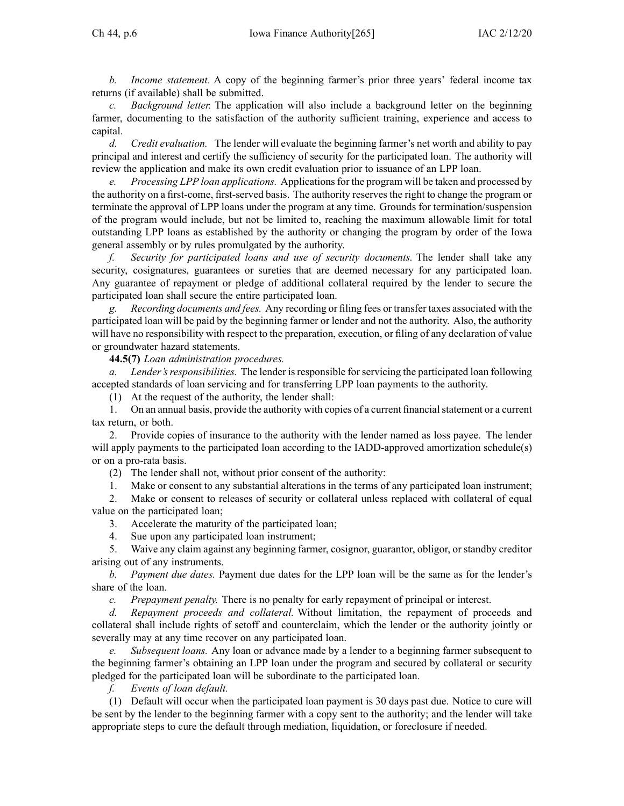*b. Income statement.* A copy of the beginning farmer's prior three years' federal income tax returns (if available) shall be submitted.

*c. Background letter.* The application will also include <sup>a</sup> background letter on the beginning farmer, documenting to the satisfaction of the authority sufficient training, experience and access to capital.

*d. Credit evaluation.* The lender will evaluate the beginning farmer's net worth and ability to pay principal and interest and certify the sufficiency of security for the participated loan. The authority will review the application and make its own credit evaluation prior to issuance of an LPP loan.

*e. Processing LPP loan applications.* Applicationsfor the program will be taken and processed by the authority on <sup>a</sup> first-come, first-served basis. The authority reserves the right to change the program or terminate the approval of LPP loans under the program at any time. Grounds for termination/suspension of the program would include, but not be limited to, reaching the maximum allowable limit for total outstanding LPP loans as established by the authority or changing the program by order of the Iowa general assembly or by rules promulgated by the authority.

*f. Security for participated loans and use of security documents.* The lender shall take any security, cosignatures, guarantees or sureties that are deemed necessary for any participated loan. Any guarantee of repaymen<sup>t</sup> or pledge of additional collateral required by the lender to secure the participated loan shall secure the entire participated loan.

*g. Recording documents and fees.* Any recording or filing fees or transfer taxes associated with the participated loan will be paid by the beginning farmer or lender and not the authority. Also, the authority will have no responsibility with respec<sup>t</sup> to the preparation, execution, or filing of any declaration of value or groundwater hazard statements.

**44.5(7)** *Loan administration procedures.*

*a. Lender'sresponsibilities.* The lender isresponsible forservicing the participated loan following accepted standards of loan servicing and for transferring LPP loan payments to the authority.

(1) At the reques<sup>t</sup> of the authority, the lender shall:

1. On an annual basis, provide the authority with copies of <sup>a</sup> current financialstatement or <sup>a</sup> current tax return, or both.

2. Provide copies of insurance to the authority with the lender named as loss payee. The lender will apply payments to the participated loan according to the IADD-approved amortization schedule(s) or on <sup>a</sup> pro-rata basis.

(2) The lender shall not, without prior consent of the authority:

1. Make or consent to any substantial alterations in the terms of any participated loan instrument;

2. Make or consent to releases of security or collateral unless replaced with collateral of equal value on the participated loan;

3. Accelerate the maturity of the participated loan;

4. Sue upon any participated loan instrument;

5. Waive any claim against any beginning farmer, cosignor, guarantor, obligor, or standby creditor arising out of any instruments.

*b. Payment due dates.* Payment due dates for the LPP loan will be the same as for the lender's share of the loan.

*c. Prepayment penalty.* There is no penalty for early repaymen<sup>t</sup> of principal or interest.

*d. Repayment proceeds and collateral.* Without limitation, the repaymen<sup>t</sup> of proceeds and collateral shall include rights of setoff and counterclaim, which the lender or the authority jointly or severally may at any time recover on any participated loan.

*e. Subsequent loans.* Any loan or advance made by <sup>a</sup> lender to <sup>a</sup> beginning farmer subsequent to the beginning farmer's obtaining an LPP loan under the program and secured by collateral or security pledged for the participated loan will be subordinate to the participated loan.

*f. Events of loan default.*

(1) Default will occur when the participated loan paymen<sup>t</sup> is 30 days pas<sup>t</sup> due. Notice to cure will be sent by the lender to the beginning farmer with <sup>a</sup> copy sent to the authority; and the lender will take appropriate steps to cure the default through mediation, liquidation, or foreclosure if needed.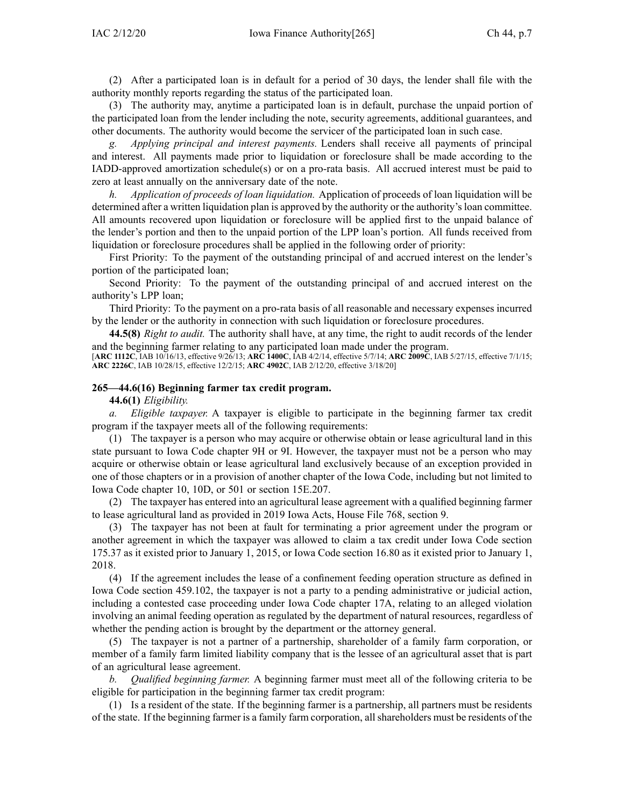(2) After <sup>a</sup> participated loan is in default for <sup>a</sup> period of 30 days, the lender shall file with the authority monthly reports regarding the status of the participated loan.

(3) The authority may, anytime <sup>a</sup> participated loan is in default, purchase the unpaid portion of the participated loan from the lender including the note, security agreements, additional guarantees, and other documents. The authority would become the servicer of the participated loan in such case.

*g. Applying principal and interest payments.* Lenders shall receive all payments of principal and interest. All payments made prior to liquidation or foreclosure shall be made according to the IADD-approved amortization schedule(s) or on <sup>a</sup> pro-rata basis. All accrued interest must be paid to zero at least annually on the anniversary date of the note.

*h. Application of proceeds of loan liquidation.* Application of proceeds of loan liquidation will be determined after a written liquidation plan is approved by the authority or the authority's loan committee. All amounts recovered upon liquidation or foreclosure will be applied first to the unpaid balance of the lender's portion and then to the unpaid portion of the LPP loan's portion. All funds received from liquidation or foreclosure procedures shall be applied in the following order of priority:

First Priority: To the paymen<sup>t</sup> of the outstanding principal of and accrued interest on the lender's portion of the participated loan;

Second Priority: To the paymen<sup>t</sup> of the outstanding principal of and accrued interest on the authority's LPP loan;

Third Priority: To the paymen<sup>t</sup> on <sup>a</sup> pro-rata basis of all reasonable and necessary expenses incurred by the lender or the authority in connection with such liquidation or foreclosure procedures.

**44.5(8)** *Right to audit.* The authority shall have, at any time, the right to audit records of the lender and the beginning farmer relating to any participated loan made under the program.

[**ARC [1112C](https://www.legis.iowa.gov/docs/aco/arc/1112C.pdf)**, IAB 10/16/13, effective 9/26/13; **ARC [1400C](https://www.legis.iowa.gov/docs/aco/arc/1400C.pdf)**, IAB 4/2/14, effective 5/7/14; **ARC [2009C](https://www.legis.iowa.gov/docs/aco/arc/2009C.pdf)**, IAB 5/27/15, effective 7/1/15; **ARC [2226C](https://www.legis.iowa.gov/docs/aco/arc/2226C.pdf)**, IAB 10/28/15, effective 12/2/15; **ARC [4902C](https://www.legis.iowa.gov/docs/aco/arc/4902C.pdf)**, IAB 2/12/20, effective 3/18/20]

## **265—44.6(16) Beginning farmer tax credit program.**

**44.6(1)** *Eligibility.*

*a. Eligible taxpayer.* A taxpayer is eligible to participate in the beginning farmer tax credit program if the taxpayer meets all of the following requirements:

(1) The taxpayer is <sup>a</sup> person who may acquire or otherwise obtain or lease agricultural land in this state pursuan<sup>t</sup> to Iowa Code chapter [9H](https://www.legis.iowa.gov/docs/ico/chapter/9H.pdf) or [9I](https://www.legis.iowa.gov/docs/ico/chapter/9I.pdf). However, the taxpayer must not be <sup>a</sup> person who may acquire or otherwise obtain or lease agricultural land exclusively because of an exception provided in one of those chapters or in <sup>a</sup> provision of another chapter of the Iowa Code, including but not limited to Iowa Code chapter [10](https://www.legis.iowa.gov/docs/ico/chapter/10.pdf), [10D](https://www.legis.iowa.gov/docs/ico/chapter/10D.pdf), or [501](https://www.legis.iowa.gov/docs/ico/chapter/501.pdf) or section [15E.207](https://www.legis.iowa.gov/docs/ico/section/15E.207.pdf).

(2) The taxpayer has entered into an agricultural lease agreemen<sup>t</sup> with <sup>a</sup> qualified beginning farmer to lease agricultural land as provided in 2019 Iowa Acts, House File 768, section 9.

(3) The taxpayer has not been at fault for terminating <sup>a</sup> prior agreemen<sup>t</sup> under the program or another agreemen<sup>t</sup> in which the taxpayer was allowed to claim <sup>a</sup> tax credit under Iowa Code section 175.37 as it existed prior to January 1, 2015, or Iowa Code section [16.80](https://www.legis.iowa.gov/docs/ico/section/16.80.pdf) as it existed prior to January 1, 2018.

(4) If the agreemen<sup>t</sup> includes the lease of <sup>a</sup> confinement feeding operation structure as defined in Iowa Code section [459.102](https://www.legis.iowa.gov/docs/ico/section/459.102.pdf), the taxpayer is not <sup>a</sup> party to <sup>a</sup> pending administrative or judicial action, including <sup>a</sup> contested case proceeding under Iowa Code chapter [17A](https://www.legis.iowa.gov/docs/ico/chapter/17A.pdf), relating to an alleged violation involving an animal feeding operation as regulated by the department of natural resources, regardless of whether the pending action is brought by the department or the attorney general.

(5) The taxpayer is not <sup>a</sup> partner of <sup>a</sup> partnership, shareholder of <sup>a</sup> family farm corporation, or member of <sup>a</sup> family farm limited liability company that is the lessee of an agricultural asset that is par<sup>t</sup> of an agricultural lease agreement.

*b. Qualified beginning farmer.* A beginning farmer must meet all of the following criteria to be eligible for participation in the beginning farmer tax credit program:

(1) Is <sup>a</sup> resident of the state. If the beginning farmer is <sup>a</sup> partnership, all partners must be residents of the state. If the beginning farmer is <sup>a</sup> family farm corporation, allshareholders must be residents of the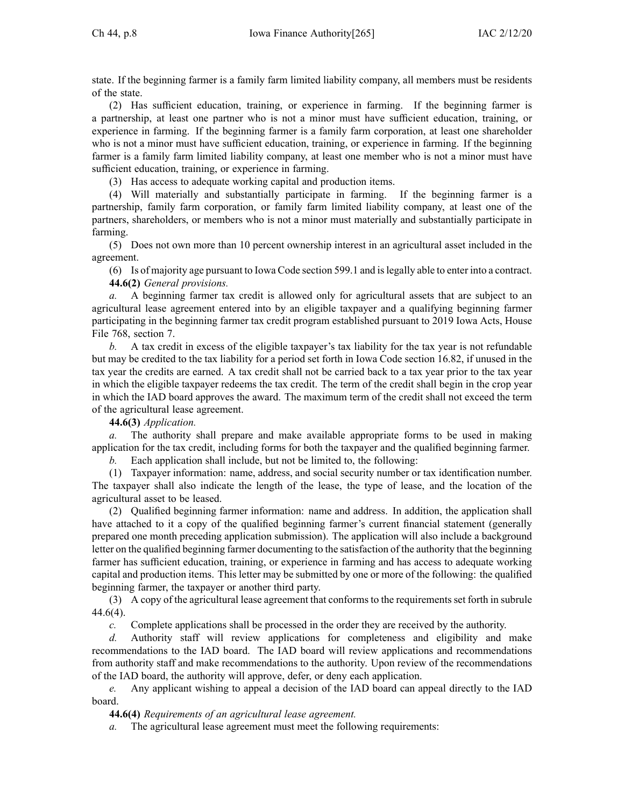state. If the beginning farmer is <sup>a</sup> family farm limited liability company, all members must be residents of the state.

(2) Has sufficient education, training, or experience in farming. If the beginning farmer is <sup>a</sup> partnership, at least one partner who is not <sup>a</sup> minor must have sufficient education, training, or experience in farming. If the beginning farmer is <sup>a</sup> family farm corporation, at least one shareholder who is not a minor must have sufficient education, training, or experience in farming. If the beginning farmer is <sup>a</sup> family farm limited liability company, at least one member who is not <sup>a</sup> minor must have sufficient education, training, or experience in farming.

(3) Has access to adequate working capital and production items.

(4) Will materially and substantially participate in farming. If the beginning farmer is <sup>a</sup> partnership, family farm corporation, or family farm limited liability company, at least one of the partners, shareholders, or members who is not <sup>a</sup> minor must materially and substantially participate in farming.

(5) Does not own more than 10 percen<sup>t</sup> ownership interest in an agricultural asset included in the agreement.

(6) Is of majority age pursuan<sup>t</sup> to Iowa Code section [599.1](https://www.legis.iowa.gov/docs/ico/section/599.1.pdf) and islegally able to enter into <sup>a</sup> contract. **44.6(2)** *General provisions.*

*a.* A beginning farmer tax credit is allowed only for agricultural assets that are subject to an agricultural lease agreemen<sup>t</sup> entered into by an eligible taxpayer and <sup>a</sup> qualifying beginning farmer participating in the beginning farmer tax credit program established pursuan<sup>t</sup> to 2019 Iowa Acts, House File 768, section 7.

*b.* A tax credit in excess of the eligible taxpayer's tax liability for the tax year is not refundable but may be credited to the tax liability for <sup>a</sup> period set forth in Iowa Code section [16.82](https://www.legis.iowa.gov/docs/ico/section/16.82.pdf), if unused in the tax year the credits are earned. A tax credit shall not be carried back to <sup>a</sup> tax year prior to the tax year in which the eligible taxpayer redeems the tax credit. The term of the credit shall begin in the crop year in which the IAD board approves the award. The maximum term of the credit shall not exceed the term of the agricultural lease agreement.

**44.6(3)** *Application.*

*a.* The authority shall prepare and make available appropriate forms to be used in making application for the tax credit, including forms for both the taxpayer and the qualified beginning farmer.

*b.* Each application shall include, but not be limited to, the following:

(1) Taxpayer information: name, address, and social security number or tax identification number. The taxpayer shall also indicate the length of the lease, the type of lease, and the location of the agricultural asset to be leased.

(2) Qualified beginning farmer information: name and address. In addition, the application shall have attached to it <sup>a</sup> copy of the qualified beginning farmer's current financial statement (generally prepared one month preceding application submission). The application will also include <sup>a</sup> background letter on the qualified beginning farmer documenting to the satisfaction of the authority that the beginning farmer has sufficient education, training, or experience in farming and has access to adequate working capital and production items. This letter may be submitted by one or more of the following: the qualified beginning farmer, the taxpayer or another third party.

(3) A copy of the agricultural lease agreemen<sup>t</sup> that conformsto the requirementsset forth in [subrule](https://www.legis.iowa.gov/docs/iac/rule/265.44.6.pdf) [44.6\(4\)](https://www.legis.iowa.gov/docs/iac/rule/265.44.6.pdf).

*c.* Complete applications shall be processed in the order they are received by the authority.

*d.* Authority staff will review applications for completeness and eligibility and make recommendations to the IAD board. The IAD board will review applications and recommendations from authority staff and make recommendations to the authority. Upon review of the recommendations of the IAD board, the authority will approve, defer, or deny each application.

*e.* Any applicant wishing to appeal <sup>a</sup> decision of the IAD board can appeal directly to the IAD board.

**44.6(4)** *Requirements of an agricultural lease agreement.*

*a.* The agricultural lease agreemen<sup>t</sup> must meet the following requirements: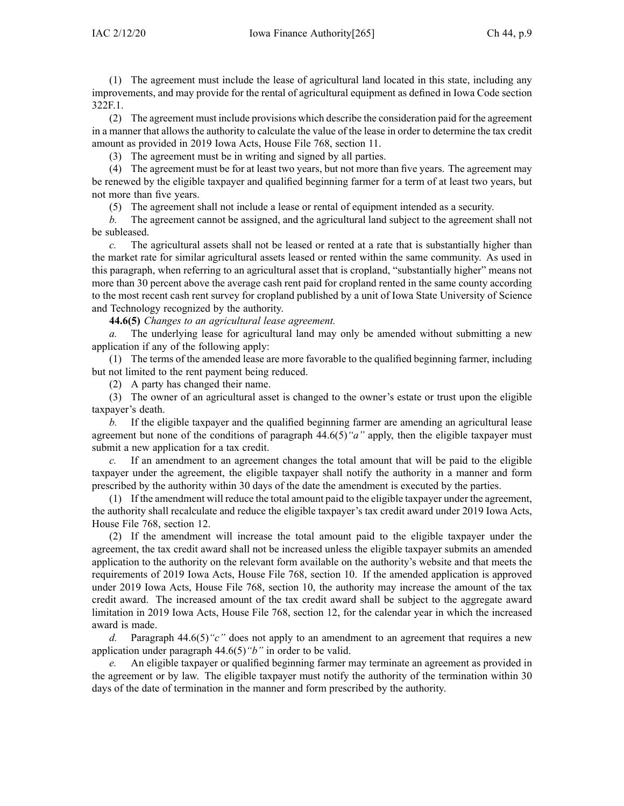(1) The agreemen<sup>t</sup> must include the lease of agricultural land located in this state, including any improvements, and may provide for the rental of agricultural equipment as defined in Iowa Code section [322F.1](https://www.legis.iowa.gov/docs/ico/section/322F.1.pdf).

(2) The agreemen<sup>t</sup> must include provisions which describe the consideration paid for the agreemen<sup>t</sup> in <sup>a</sup> manner that allows the authority to calculate the value of the lease in order to determine the tax credit amount as provided in 2019 Iowa Acts, House File 768, section 11.

(3) The agreemen<sup>t</sup> must be in writing and signed by all parties.

(4) The agreemen<sup>t</sup> must be for at least two years, but not more than five years. The agreemen<sup>t</sup> may be renewed by the eligible taxpayer and qualified beginning farmer for <sup>a</sup> term of at least two years, but not more than five years.

(5) The agreemen<sup>t</sup> shall not include <sup>a</sup> lease or rental of equipment intended as <sup>a</sup> security.

*b.* The agreemen<sup>t</sup> cannot be assigned, and the agricultural land subject to the agreemen<sup>t</sup> shall not be subleased.

*c.* The agricultural assets shall not be leased or rented at <sup>a</sup> rate that is substantially higher than the market rate for similar agricultural assets leased or rented within the same community. As used in this paragraph, when referring to an agricultural asset that is cropland, "substantially higher" means not more than 30 percen<sup>t</sup> above the average cash rent paid for cropland rented in the same county according to the most recent cash rent survey for cropland published by <sup>a</sup> unit of Iowa State University of Science and Technology recognized by the authority.

**44.6(5)** *Changes to an agricultural lease agreement.*

*a.* The underlying lease for agricultural land may only be amended without submitting <sup>a</sup> new application if any of the following apply:

(1) The terms of the amended lease are more favorable to the qualified beginning farmer, including but not limited to the rent paymen<sup>t</sup> being reduced.

(2) A party has changed their name.

(3) The owner of an agricultural asset is changed to the owner's estate or trust upon the eligible taxpayer's death.

*b.* If the eligible taxpayer and the qualified beginning farmer are amending an agricultural lease agreemen<sup>t</sup> but none of the conditions of paragraph [44.6\(5\)](https://www.legis.iowa.gov/docs/iac/rule/265.44.6.pdf)*"a"* apply, then the eligible taxpayer must submit <sup>a</sup> new application for <sup>a</sup> tax credit.

*c.* If an amendment to an agreemen<sup>t</sup> changes the total amount that will be paid to the eligible taxpayer under the agreement, the eligible taxpayer shall notify the authority in <sup>a</sup> manner and form prescribed by the authority within 30 days of the date the amendment is executed by the parties.

(1) If the amendment will reduce the total amount paid to the eligible taxpayer under the agreement, the authority shall recalculate and reduce the eligible taxpayer's tax credit award under 2019 Iowa Acts, House File 768, section 12.

(2) If the amendment will increase the total amount paid to the eligible taxpayer under the agreement, the tax credit award shall not be increased unless the eligible taxpayer submits an amended application to the authority on the relevant form available on the authority's website and that meets the requirements of 2019 Iowa Acts, House File 768, section 10. If the amended application is approved under 2019 Iowa Acts, House File 768, section 10, the authority may increase the amount of the tax credit award. The increased amount of the tax credit award shall be subject to the aggregate award limitation in 2019 Iowa Acts, House File 768, section 12, for the calendar year in which the increased award is made.

*d.* Paragraph [44.6\(5\)](https://www.legis.iowa.gov/docs/iac/rule/265.44.6.pdf)*"c"* does not apply to an amendment to an agreemen<sup>t</sup> that requires <sup>a</sup> new application under paragraph [44.6\(5\)](https://www.legis.iowa.gov/docs/iac/rule/265.44.6.pdf)*"b"* in order to be valid.

*e.* An eligible taxpayer or qualified beginning farmer may terminate an agreemen<sup>t</sup> as provided in the agreemen<sup>t</sup> or by law. The eligible taxpayer must notify the authority of the termination within 30 days of the date of termination in the manner and form prescribed by the authority.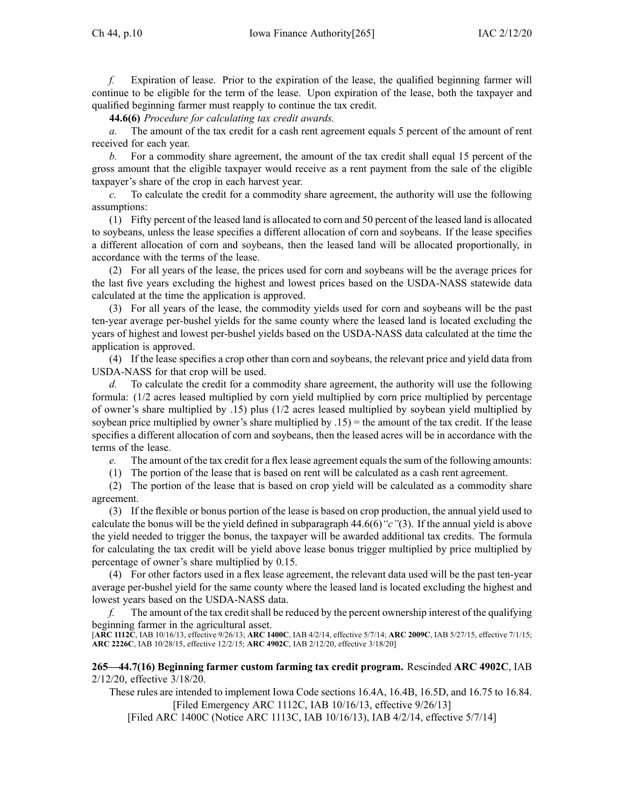*f.* Expiration of lease. Prior to the expiration of the lease, the qualified beginning farmer will continue to be eligible for the term of the lease. Upon expiration of the lease, both the taxpayer and qualified beginning farmer must reapply to continue the tax credit.

**44.6(6)** *Procedure for calculating tax credit awards.*

*a.* The amount of the tax credit for <sup>a</sup> cash rent agreemen<sup>t</sup> equals 5 percen<sup>t</sup> of the amount of rent received for each year.

*b.* For <sup>a</sup> commodity share agreement, the amount of the tax credit shall equal 15 percen<sup>t</sup> of the gross amount that the eligible taxpayer would receive as <sup>a</sup> rent paymen<sup>t</sup> from the sale of the eligible taxpayer's share of the crop in each harvest year.

*c.* To calculate the credit for <sup>a</sup> commodity share agreement, the authority will use the following assumptions:

(1) Fifty percen<sup>t</sup> of the leased land is allocated to corn and 50 percen<sup>t</sup> of the leased land is allocated to soybeans, unless the lease specifies <sup>a</sup> different allocation of corn and soybeans. If the lease specifies <sup>a</sup> different allocation of corn and soybeans, then the leased land will be allocated proportionally, in accordance with the terms of the lease.

(2) For all years of the lease, the prices used for corn and soybeans will be the average prices for the last five years excluding the highest and lowest prices based on the USDA-NASS statewide data calculated at the time the application is approved.

(3) For all years of the lease, the commodity yields used for corn and soybeans will be the pas<sup>t</sup> ten-year average per-bushel yields for the same county where the leased land is located excluding the years of highest and lowest per-bushel yields based on the USDA-NASS data calculated at the time the application is approved.

(4) If the lease specifies <sup>a</sup> crop other than corn and soybeans, the relevant price and yield data from USDA-NASS for that crop will be used.

*d.* To calculate the credit for <sup>a</sup> commodity share agreement, the authority will use the following formula: (1/2 acres leased multiplied by corn yield multiplied by corn price multiplied by percentage of owner's share multiplied by .15) plus (1/2 acres leased multiplied by soybean yield multiplied by soybean price multiplied by owner's share multiplied by .15) <sup>=</sup> the amount of the tax credit. If the lease specifies <sup>a</sup> different allocation of corn and soybeans, then the leased acres will be in accordance with the terms of the lease.

*e.* The amount of the tax credit for a flex lease agreement equals the sum of the following amounts:

(1) The portion of the lease that is based on rent will be calculated as <sup>a</sup> cash rent agreement.

(2) The portion of the lease that is based on crop yield will be calculated as <sup>a</sup> commodity share agreement.

(3) If the flexible or bonus portion of the lease is based on crop production, the annual yield used to calculate the bonus will be the yield defined in [subparagraph](https://www.legis.iowa.gov/docs/iac/rule/265.44.6.pdf) 44.6(6)*"c"*(3). If the annual yield is above the yield needed to trigger the bonus, the taxpayer will be awarded additional tax credits. The formula for calculating the tax credit will be yield above lease bonus trigger multiplied by price multiplied by percentage of owner's share multiplied by 0.15.

(4) For other factors used in <sup>a</sup> flex lease agreement, the relevant data used will be the pas<sup>t</sup> ten-year average per-bushel yield for the same county where the leased land is located excluding the highest and lowest years based on the USDA-NASS data.

*f.* The amount of the tax credit shall be reduced by the percent ownership interest of the qualifying beginning farmer in the agricultural asset.

[**ARC [1112C](https://www.legis.iowa.gov/docs/aco/arc/1112C.pdf)**, IAB 10/16/13, effective 9/26/13; **ARC [1400C](https://www.legis.iowa.gov/docs/aco/arc/1400C.pdf)**, IAB 4/2/14, effective 5/7/14; **ARC [2009C](https://www.legis.iowa.gov/docs/aco/arc/2009C.pdf)**, IAB 5/27/15, effective 7/1/15; **ARC [2226C](https://www.legis.iowa.gov/docs/aco/arc/2226C.pdf)**, IAB 10/28/15, effective 12/2/15; **ARC [4902C](https://www.legis.iowa.gov/docs/aco/arc/4902C.pdf)**, IAB 2/12/20, effective 3/18/20]

**265—44.7(16) Beginning farmer custom farming tax credit program.** Rescinded **ARC 4902C**, [IAB](https://www.legis.iowa.gov/docs/aco/bulletin/02-12-2020.pdf) [2/12/20](https://www.legis.iowa.gov/docs/aco/bulletin/02-12-2020.pdf), effective 3/18/20.

These rules are intended to implement Iowa Code sections [16.4A](https://www.legis.iowa.gov/docs/ico/section/16.4A.pdf), [16.4B](https://www.legis.iowa.gov/docs/ico/section/16.4B.pdf), [16.5D](https://www.legis.iowa.gov/docs/ico/section/16.5D.pdf), and 16.75 to [16.84](https://www.legis.iowa.gov/docs/ico/section/16.75-84.pdf). [Filed [Emergency](https://www.legis.iowa.gov/docs/aco/arc/1112C.pdf) ARC 1112C, IAB 10/16/13, effective 9/26/13]

[Filed ARC [1400C](https://www.legis.iowa.gov/docs/aco/arc/1400C.pdf) ([Notice](https://www.legis.iowa.gov/docs/aco/arc/1113C.pdf) ARC 1113C, IAB 10/16/13), IAB 4/2/14, effective 5/7/14]